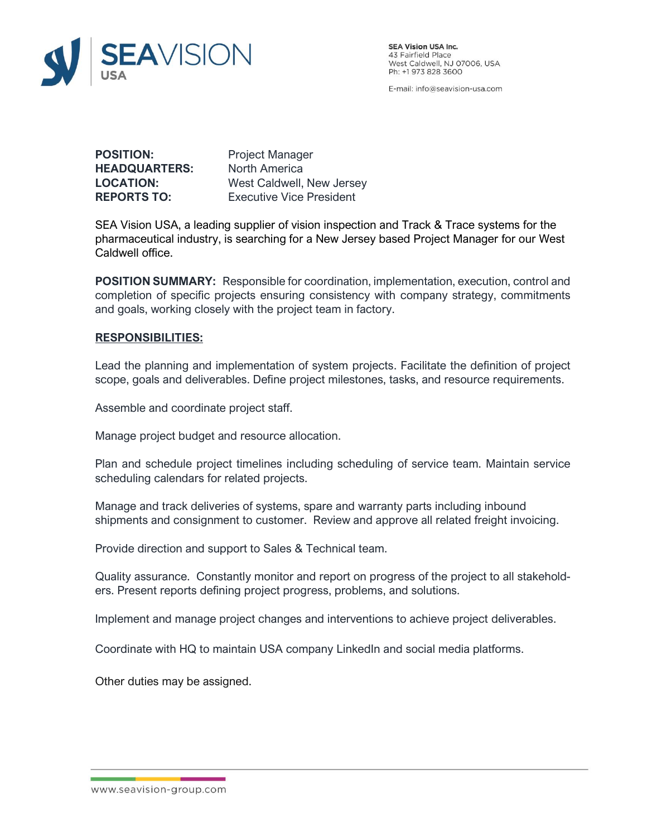

**SEA Vision USA Inc.** 43 Fairfield Place<br>West Caldwell, NJ 07006, USA Ph: +1 973 828 3600

E-mail: info@seavision-usa.com

**POSITION:** Project Manager **HEADQUARTERS:** North America **LOCATION:** West Caldwell, New Jersey **REPORTS TO:** Executive Vice President

SEA Vision USA, a leading supplier of vision inspection and Track & Trace systems for the pharmaceutical industry, is searching for a New Jersey based Project Manager for our West Caldwell office.

**POSITION SUMMARY:** Responsible for coordination, implementation, execution, control and completion of specific projects ensuring consistency with company strategy, commitments and goals, working closely with the project team in factory.

#### **RESPONSIBILITIES:**

Lead the planning and implementation of system projects. Facilitate the definition of project scope, goals and deliverables. Define project milestones, tasks, and resource requirements.

Assemble and coordinate project staff.

Manage project budget and resource allocation.

Plan and schedule project timelines including scheduling of service team. Maintain service scheduling calendars for related projects.

Manage and track deliveries of systems, spare and warranty parts including inbound shipments and consignment to customer. Review and approve all related freight invoicing.

Provide direction and support to Sales & Technical team.

Quality assurance. Constantly monitor and report on progress of the project to all stakeholders. Present reports defining project progress, problems, and solutions.

Implement and manage project changes and interventions to achieve project deliverables.

Coordinate with HQ to maintain USA company LinkedIn and social media platforms.

Other duties may be assigned.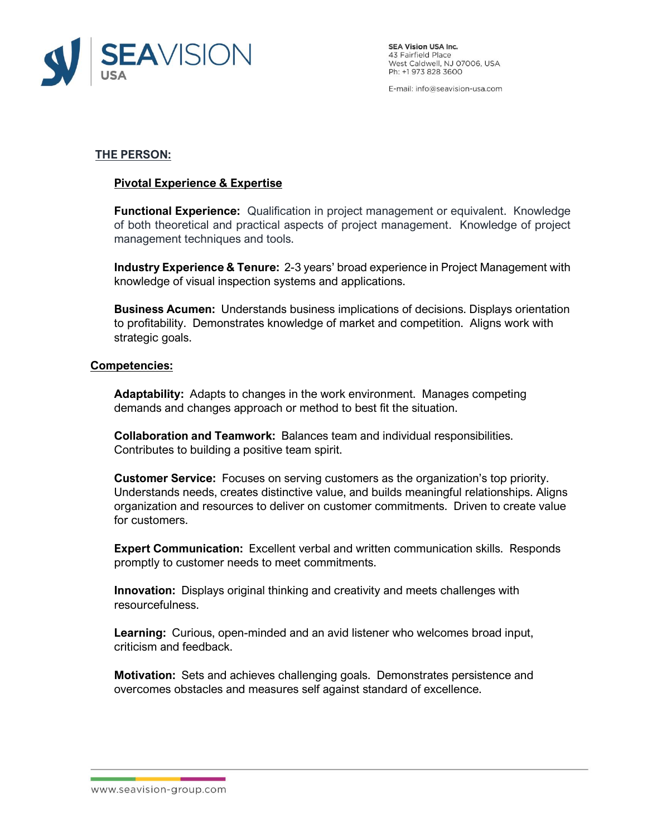

**SEA Vision USA Inc.** 43 Fairfield Place<br>West Caldwell, NJ 07006, USA Ph: +1 973 828 3600

E-mail: info@seavision-usa.com

# **THE PERSON:**

## **Pivotal Experience & Expertise**

**Functional Experience:** Qualification in project management or equivalent. Knowledge of both theoretical and practical aspects of project management. Knowledge of project management techniques and tools.

**Industry Experience & Tenure:** 2-3 years' broad experience in Project Management with knowledge of visual inspection systems and applications.

**Business Acumen:** Understands business implications of decisions. Displays orientation to profitability. Demonstrates knowledge of market and competition. Aligns work with strategic goals.

### **Competencies:**

**Adaptability:** Adapts to changes in the work environment. Manages competing demands and changes approach or method to best fit the situation.

**Collaboration and Teamwork:** Balances team and individual responsibilities. Contributes to building a positive team spirit.

**Customer Service:** Focuses on serving customers as the organization's top priority. Understands needs, creates distinctive value, and builds meaningful relationships. Aligns organization and resources to deliver on customer commitments. Driven to create value for customers.

**Expert Communication:** Excellent verbal and written communication skills. Responds promptly to customer needs to meet commitments.

**Innovation:** Displays original thinking and creativity and meets challenges with resourcefulness.

**Learning:** Curious, open-minded and an avid listener who welcomes broad input, criticism and feedback.

**Motivation:** Sets and achieves challenging goals. Demonstrates persistence and overcomes obstacles and measures self against standard of excellence.

#### www.seavision-group.com